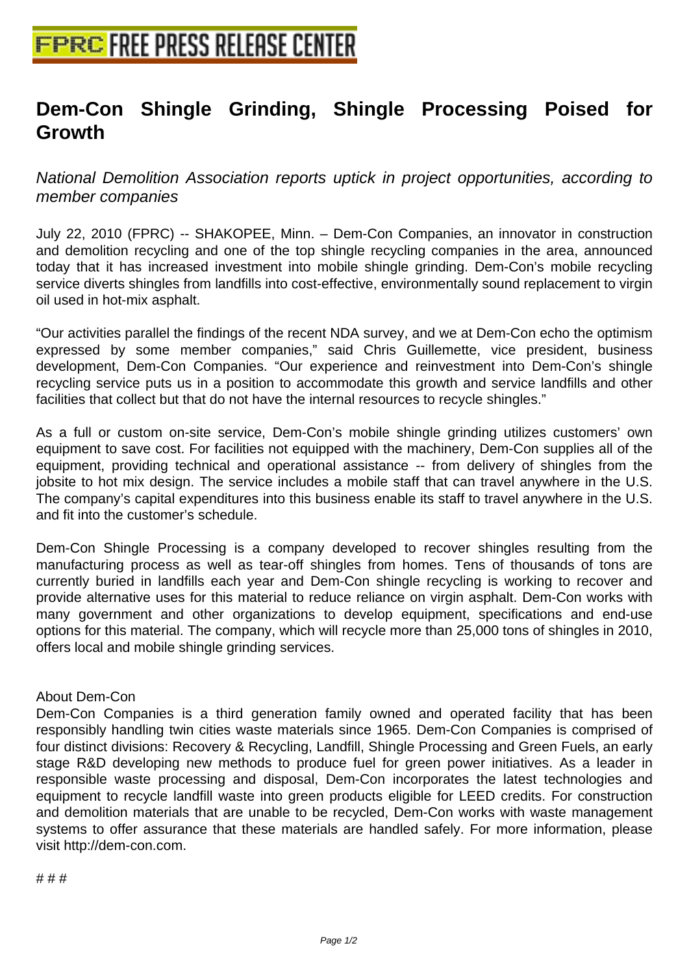## **[Dem-Con Shingle Grinding, Sh](http://www.free-press-release-center.info)ingle Processing Poised for Growth**

National Demolition Association reports uptick in project opportunities, according to member companies

July 22, 2010 (FPRC) -- SHAKOPEE, Minn. – Dem-Con Companies, an innovator in construction and demolition recycling and one of the top shingle recycling companies in the area, announced today that it has increased investment into mobile shingle grinding. Dem-Con's mobile recycling service diverts shingles from landfills into cost-effective, environmentally sound replacement to virgin oil used in hot-mix asphalt.

"Our activities parallel the findings of the recent NDA survey, and we at Dem-Con echo the optimism expressed by some member companies," said Chris Guillemette, vice president, business development, Dem-Con Companies. "Our experience and reinvestment into Dem-Con's shingle recycling service puts us in a position to accommodate this growth and service landfills and other facilities that collect but that do not have the internal resources to recycle shingles."

As a full or custom on-site service, Dem-Con's mobile shingle grinding utilizes customers' own equipment to save cost. For facilities not equipped with the machinery, Dem-Con supplies all of the equipment, providing technical and operational assistance -- from delivery of shingles from the jobsite to hot mix design. The service includes a mobile staff that can travel anywhere in the U.S. The company's capital expenditures into this business enable its staff to travel anywhere in the U.S. and fit into the customer's schedule.

Dem-Con Shingle Processing is a company developed to recover shingles resulting from the manufacturing process as well as tear-off shingles from homes. Tens of thousands of tons are currently buried in landfills each year and Dem-Con shingle recycling is working to recover and provide alternative uses for this material to reduce reliance on virgin asphalt. Dem-Con works with many government and other organizations to develop equipment, specifications and end-use options for this material. The company, which will recycle more than 25,000 tons of shingles in 2010, offers local and mobile shingle grinding services.

## About Dem-Con

Dem-Con Companies is a third generation family owned and operated facility that has been responsibly handling twin cities waste materials since 1965. Dem-Con Companies is comprised of four distinct divisions: Recovery & Recycling, Landfill, Shingle Processing and Green Fuels, an early stage R&D developing new methods to produce fuel for green power initiatives. As a leader in responsible waste processing and disposal, Dem-Con incorporates the latest technologies and equipment to recycle landfill waste into green products eligible for LEED credits. For construction and demolition materials that are unable to be recycled, Dem-Con works with waste management systems to offer assurance that these materials are handled safely. For more information, please visit http://dem-con.com.